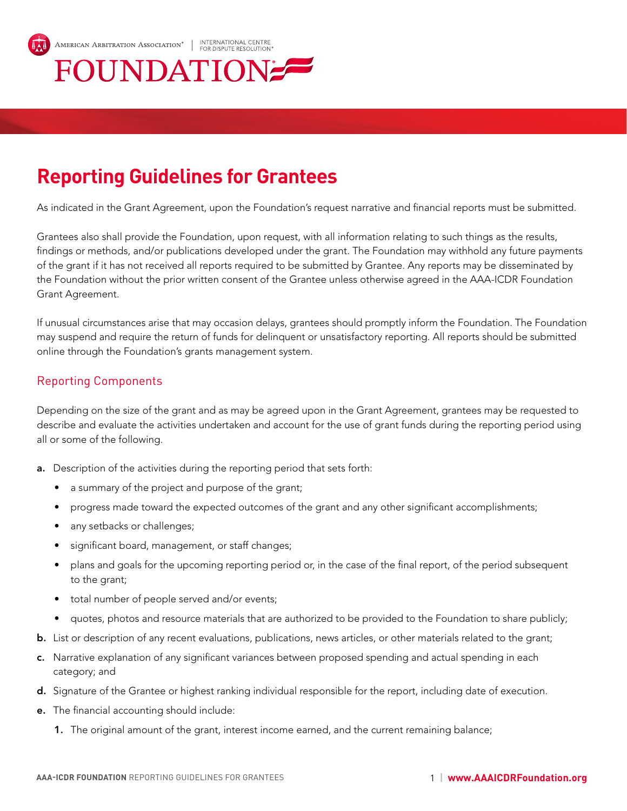

## **Reporting Guidelines for Grantees**

As indicated in the Grant Agreement, upon the Foundation's request narrative and financial reports must be submitted.

Grantees also shall provide the Foundation, upon request, with all information relating to such things as the results, findings or methods, and/or publications developed under the grant. The Foundation may withhold any future payments of the grant if it has not received all reports required to be submitted by Grantee. Any reports may be disseminated by the Foundation without the prior written consent of the Grantee unless otherwise agreed in the AAA-ICDR Foundation Grant Agreement.

If unusual circumstances arise that may occasion delays, grantees should promptly inform the Foundation. The Foundation may suspend and require the return of funds for delinquent or unsatisfactory reporting. All reports should be submitted online through the Foundation's grants management system.

## Reporting Components

Depending on the size of the grant and as may be agreed upon in the Grant Agreement, grantees may be requested to describe and evaluate the activities undertaken and account for the use of grant funds during the reporting period using all or some of the following.

- a. Description of the activities during the reporting period that sets forth:
	- a summary of the project and purpose of the grant;
	- progress made toward the expected outcomes of the grant and any other significant accomplishments;
	- any setbacks or challenges;
	- significant board, management, or staff changes;
	- plans and goals for the upcoming reporting period or, in the case of the final report, of the period subsequent to the grant;
	- total number of people served and/or events;
	- quotes, photos and resource materials that are authorized to be provided to the Foundation to share publicly;
- b. List or description of any recent evaluations, publications, news articles, or other materials related to the grant;
- c. Narrative explanation of any significant variances between proposed spending and actual spending in each category; and
- d. Signature of the Grantee or highest ranking individual responsible for the report, including date of execution.
- e. The financial accounting should include:
	- 1. The original amount of the grant, interest income earned, and the current remaining balance;